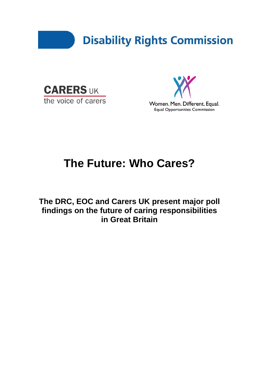





# **The Future: Who Cares?**

**The DRC, EOC and Carers UK present major poll findings on the future of caring responsibilities in Great Britain**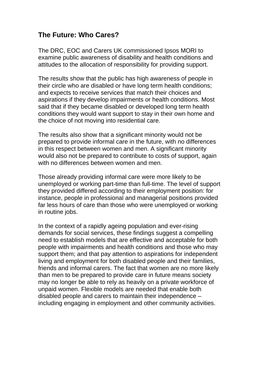## **The Future: Who Cares?**

The DRC, EOC and Carers UK commissioned Ipsos MORI to examine public awareness of disability and health conditions and attitudes to the allocation of responsibility for providing support.

The results show that the public has high awareness of people in their circle who are disabled or have long term health conditions; and expects to receive services that match their choices and aspirations if they develop impairments or health conditions. Most said that if they became disabled or developed long term health conditions they would want support to stay in their own home and the choice of not moving into residential care.

The results also show that a significant minority would not be prepared to provide informal care in the future, with no differences in this respect between women and men. A significant minority would also not be prepared to contribute to costs of support, again with no differences between women and men.

Those already providing informal care were more likely to be unemployed or working part-time than full-time. The level of support they provided differed according to their employment position: for instance, people in professional and managerial positions provided far less hours of care than those who were unemployed or working in routine jobs.

In the context of a rapidly ageing population and ever-rising demands for social services, these findings suggest a compelling need to establish models that are effective and acceptable for both people with impairments and health conditions and those who may support them; and that pay attention to aspirations for independent living and employment for both disabled people and their families, friends and informal carers. The fact that women are no more likely than men to be prepared to provide care in future means society may no longer be able to rely as heavily on a private workforce of unpaid women. Flexible models are needed that enable both disabled people and carers to maintain their independence – including engaging in employment and other community activities.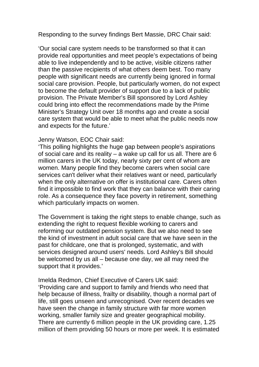Responding to the survey findings Bert Massie, DRC Chair said:

'Our social care system needs to be transformed so that it can provide real opportunities and meet people's expectations of being able to live independently and to be active, visible citizens rather than the passive recipients of what others deem best. Too many people with significant needs are currently being ignored in formal social care provision. People, but particularly women, do not expect to become the default provider of support due to a lack of public provision. The Private Member's Bill sponsored by Lord Ashley could bring into effect the recommendations made by the Prime Minister's Strategy Unit over 18 months ago and create a social care system that would be able to meet what the public needs now and expects for the future.'

#### Jenny Watson, EOC Chair said:

'This polling highlights the huge gap between people's aspirations of social care and its reality – a wake up call for us all. There are 6 million carers in the UK today, nearly sixty per cent of whom are women. Many people find they become carers when social care services can't deliver what their relatives want or need, particularly when the only alternative on offer is institutional care. Carers often find it impossible to find work that they can balance with their caring role. As a consequence they face poverty in retirement, something which particularly impacts on women.

The Government is taking the right steps to enable change, such as extending the right to request flexible working to carers and reforming our outdated pension system. But we also need to see the kind of investment in adult social care that we have seen in the past for childcare, one that is prolonged, systematic, and with services designed around users' needs. Lord Ashley's Bill should be welcomed by us all – because one day, we all may need the support that it provides.'

Imelda Redmon, Chief Executive of Carers UK said: 'Providing care and support to family and friends who need that help because of illness, frailty or disability, though a normal part of life, still goes unseen and unrecognised. Over recent decades we have seen the change in family structure with far more women working, smaller family size and greater geographical mobility. There are currently 6 million people in the UK providing care, 1.25 million of them providing 50 hours or more per week. It is estimated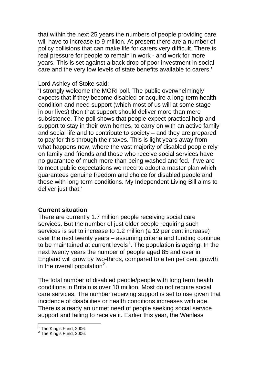that within the next 25 years the numbers of people providing care will have to increase to 9 million. At present there are a number of policy collisions that can make life for carers very difficult. There is real pressure for people to remain in work - and work for more years. This is set against a back drop of poor investment in social care and the very low levels of state benefits available to carers.'

#### Lord Ashley of Stoke said:

'I strongly welcome the MORI poll. The public overwhelmingly expects that if they become disabled or acquire a long-term health condition and need support (which most of us will at some stage in our lives) then that support should deliver more than mere subsistence. The poll shows that people expect practical help and support to stay in their own homes, to carry on with an active family and social life and to contribute to society – and they are prepared to pay for this through their taxes. This is light years away from what happens now, where the vast majority of disabled people rely on family and friends and those who receive social services have no guarantee of much more than being washed and fed. If we are to meet public expectations we need to adopt a master plan which guarantees genuine freedom and choice for disabled people and those with long term conditions. My Independent Living Bill aims to deliver just that.'

## **Current situation**

There are currently 1.7 million people receiving social care services. But the number of just older people requiring such services is set to increase to 1.2 million (a 12 per cent increase) over the next twenty years – assuming criteria and funding continue to be maintained at current levels<sup>[1](#page-3-0)</sup>. The population is ageing. In the next twenty years the number of people aged 85 and over in England will grow by two-thirds, compared to a ten per cent growth in the overall population $2$ .

The total number of disabled people/people with long term health conditions in Britain is over 10 million. Most do not require social care services. The number receiving support is set to rise given that incidence of disabilities or health conditions increases with age. There is already an unmet need of people seeking social service support and failing to receive it. Earlier this year, the Wanless

<sup>&</sup>lt;u>.</u><br><sup>1</sup> The King's Fund, 2006.<br><sup>2</sup> The King's Fund, 2006.

<span id="page-3-1"></span><span id="page-3-0"></span>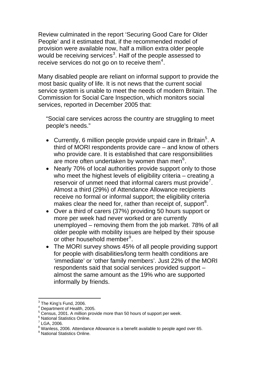Review culminated in the report 'Securing Good Care for Older People' and it estimated that, if the recommended model of provision were available now, half a million extra older people would be receiving services<sup>[3](#page-4-0)</sup>. Half of the people assessed to receive services do not go on to receive them $4$ .

Many disabled people are reliant on informal support to provide the most basic quality of life. It is not news that the current social service system is unable to meet the needs of modern Britain. The Commission for Social Care Inspection, which monitors social services, reported in December 2005 that:

"Social care services across the country are struggling to meet people's needs."

- Currently, 6 million people provide unpaid care in Britain<sup>[5](#page-4-2)</sup>. A third of MORI respondents provide care – and know of others who provide care. It is established that care responsibilities are more often undertaken by women than men $6$ .
- Nearly 70% of local authorities provide support only to those who meet the highest levels of eligibility criteria – creating a reservoir of unmet need that informal carers must provide<sup>[7](#page-4-4)</sup>. Almost a third (29%) of Attendance Allowance recipients receive no formal or informal support; the eligibility criteria makes clear the need for, rather than receipt of, support<sup>[8](#page-4-5)</sup>.
- Over a third of carers (37%) providing 50 hours support or more per week had never worked or are currently unemployed – removing them from the job market. 78% of all older people with mobility issues are helped by their spouse or other household member<sup>[9](#page-4-6)</sup>.
- The MORI survey shows 45% of all people providing support for people with disabilities/long term health conditions are 'immediate' or 'other family members'. Just 22% of the MORI respondents said that social services provided support – almost the same amount as the 19% who are supported informally by friends.

l

<span id="page-4-0"></span> $^3$  The King's Fund, 2006.

<span id="page-4-1"></span><sup>4</sup> Department of Health, 2005.

<span id="page-4-2"></span> $5$  Census, 2001. A million provide more than 50 hours of support per week.

<span id="page-4-3"></span><sup>&</sup>lt;sup>6</sup> National Statistics Online.

<span id="page-4-4"></span> $<sup>7</sup>$  LGA, 2006.</sup>

<span id="page-4-5"></span> $^8$  Wanless, 2006. Attendance Allowance is a benefit available to people aged over 65.

<span id="page-4-6"></span><sup>&</sup>lt;sup>9</sup> National Statistics Online.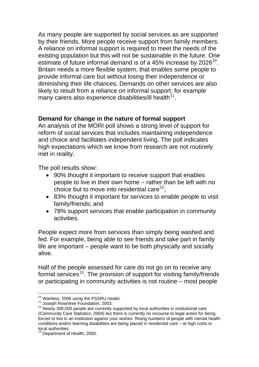As many people are supported by social services as are supported by their friends. More people receive support from family members. A reliance on informal support is required to meet the needs of the existing population but this will not be sustainable in the future. One estimate of future informal demand is of a 45% increase by 2026<sup>[10](#page-5-0)</sup>. Britain needs a more flexible system, that enables some people to provide informal care but without losing their independence or diminishing their life chances. Demands on other services are also likely to result from a reliance on informal support; for example many carers also experience disabilities/ill health<sup>[11](#page-5-1)</sup>.

## **Demand for change in the nature of formal support**

An analysis of the MORI poll shows a strong level of support for reform of social services that includes maintaining independence and choice and facilitates independent living. The poll indicates high expectations which we know from research are not routinely met in reality.

The poll results show:

- 90% thought it important to receive support that enables people to live in their own home – rather than be left with no choice but to move into residential care<sup>[12](#page-5-2)</sup>;
- 83% thought it important for services to enable people to visit family/friends; and
- 78% support services that enable participation in community activities.

People expect more from services than simply being washed and fed. For example, being able to see friends and take part in family life are important – people want to be both physically and socially alive.

Half of the people assessed for care do not go on to receive any formal services<sup>[13](#page-5-3)</sup>. The provision of support for visiting family/friends or participating in community activities is not routine – most people

<span id="page-5-0"></span><sup>&</sup>lt;sup>10</sup> Wanless, 2006 using the PSSRU model.

<span id="page-5-2"></span><span id="page-5-1"></span><sup>11</sup> Joseph Rowntree Foundation, 2003.<br><sup>12</sup> Nearly 300,000 people are currently supported by local authorities in institutional care (Community Care Statistics, 2004) but there is currently no recourse to legal action for being forced to live in an institution against your wishes. Rising numbers of people with mental health conditions and/or learning disabilities are being placed in residential care – at high costs to local authorities.

<span id="page-5-3"></span><sup>&</sup>lt;sup>13</sup> Department of Health, 2005.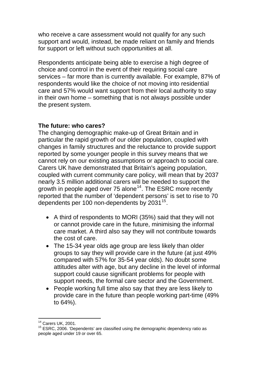who receive a care assessment would not qualify for any such support and would, instead, be made reliant on family and friends for support or left without such opportunities at all.

Respondents anticipate being able to exercise a high degree of choice and control in the event of their requiring social care services – far more than is currently available. For example, 87% of respondents would like the choice of not moving into residential care and 57% would want support from their local authority to stay in their own home – something that is not always possible under the present system.

### **The future: who cares?**

The changing demographic make-up of Great Britain and in particular the rapid growth of our older population, coupled with changes in family structures and the reluctance to provide support reported by some younger people in this survey means that we cannot rely on our existing assumptions or approach to social care. Carers UK have demonstrated that Britain's ageing population, coupled with current community care policy, will mean that by 2037 nearly 3.5 million additional carers will be needed to support the growth in people aged over 75 alone<sup>[14](#page-6-0)</sup>. The ESRC more recently reported that the number of 'dependent persons' is set to rise to 70 dependents per 100 non-dependents by 2031<sup>[15](#page-6-1)</sup>.

- A third of respondents to MORI (35%) said that they will not or cannot provide care in the future, minimising the informal care market. A third also say they will not contribute towards the cost of care.
- The 15-34 year olds age group are less likely than older groups to say they will provide care in the future (at just 49% compared with 57% for 35-54 year olds). No doubt some attitudes alter with age, but any decline in the level of informal support could cause significant problems for people with support needs, the formal care sector and the Government.
- People working full time also say that they are less likely to provide care in the future than people working part-time (49% to 64%).

l  $14$  Carers UK, 2001.

<span id="page-6-1"></span><span id="page-6-0"></span> $15$  ESRC, 2006. 'Dependents' are classified using the demographic dependency ratio as people aged under 19 or over 65.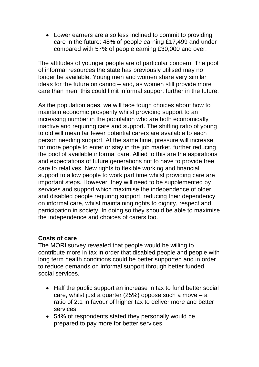• Lower earners are also less inclined to commit to providing care in the future: 48% of people earning £17,499 and under compared with 57% of people earning £30,000 and over.

The attitudes of younger people are of particular concern. The pool of informal resources the state has previously utilised may no longer be available. Young men and women share very similar ideas for the future on caring – and, as women still provide more care than men, this could limit informal support further in the future.

As the population ages, we will face tough choices about how to maintain economic prosperity whilst providing support to an increasing number in the population who are both economically inactive and requiring care and support. The shifting ratio of young to old will mean far fewer potential carers are available to each person needing support. At the same time, pressure will increase for more people to enter or stay in the job market, further reducing the pool of available informal care. Allied to this are the aspirations and expectations of future generations not to have to provide free care to relatives. New rights to flexible working and financial support to allow people to work part time whilst providing care are important steps. However, they will need to be supplemented by services and support which maximise the independence of older and disabled people requiring support, reducing their dependency on informal care, whilst maintaining rights to dignity, respect and participation in society. In doing so they should be able to maximise the independence and choices of carers too.

### **Costs of care**

The MORI survey revealed that people would be willing to contribute more in tax in order that disabled people and people with long term health conditions could be better supported and in order to reduce demands on informal support through better funded social services.

- Half the public support an increase in tax to fund better social care, whilst just a quarter (25%) oppose such a move  $-$  a ratio of 2:1 in favour of higher tax to deliver more and better services.
- 54% of respondents stated they personally would be prepared to pay more for better services.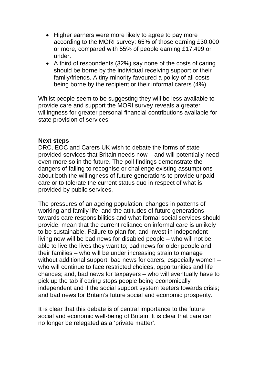- Higher earners were more likely to agree to pay more according to the MORI survey: 65% of those earning £30,000 or more, compared with 55% of people earning £17,499 or under.
- A third of respondents (32%) say none of the costs of caring should be borne by the individual receiving support or their family/friends. A tiny minority favoured a policy of all costs being borne by the recipient or their informal carers (4%).

Whilst people seem to be suggesting they will be less available to provide care and support the MORI survey reveals a greater willingness for greater personal financial contributions available for state provision of services.

#### **Next steps**

DRC, EOC and Carers UK wish to debate the forms of state provided services that Britain needs now – and will potentially need even more so in the future. The poll findings demonstrate the dangers of failing to recognise or challenge existing assumptions about both the willingness of future generations to provide unpaid care or to tolerate the current status quo in respect of what is provided by public services.

The pressures of an ageing population, changes in patterns of working and family life, and the attitudes of future generations towards care responsibilities and what formal social services should provide, mean that the current reliance on informal care is unlikely to be sustainable. Failure to plan for, and invest in independent living now will be bad news for disabled people – who will not be able to live the lives they want to; bad news for older people and their families – who will be under increasing strain to manage without additional support; bad news for carers, especially women – who will continue to face restricted choices, opportunities and life chances; and, bad news for taxpayers – who will eventually have to pick up the tab if caring stops people being economically independent and if the social support system teeters towards crisis; and bad news for Britain's future social and economic prosperity.

It is clear that this debate is of central importance to the future social and economic well-being of Britain. It is clear that care can no longer be relegated as a 'private matter'.